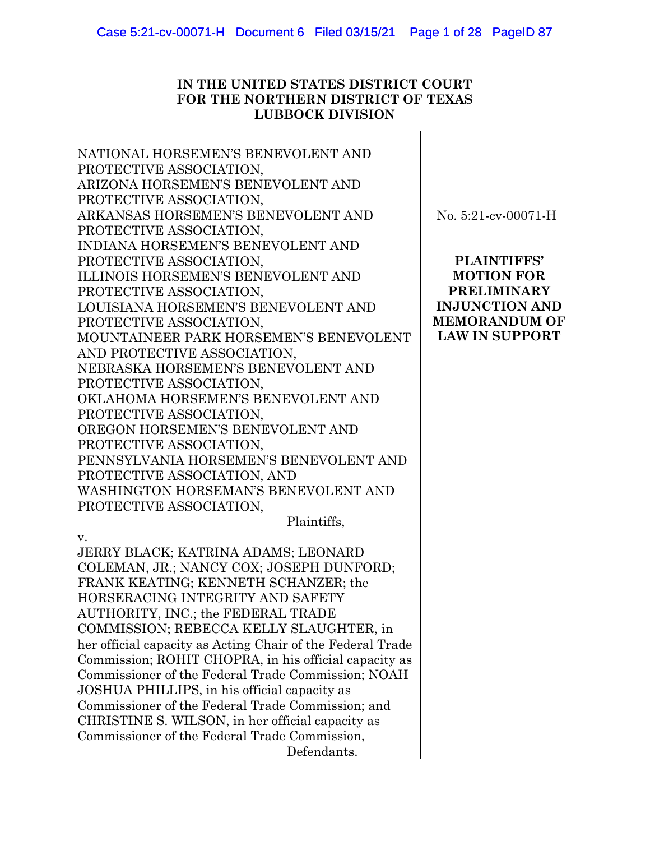# **IN THE UNITED STATES DISTRICT COURT FOR THE NORTHERN DISTRICT OF TEXAS LUBBOCK DIVISION**

| NATIONAL HORSEMEN'S BENEVOLENT AND                                                                          |                        |
|-------------------------------------------------------------------------------------------------------------|------------------------|
| PROTECTIVE ASSOCIATION,                                                                                     |                        |
| ARIZONA HORSEMEN'S BENEVOLENT AND                                                                           |                        |
| PROTECTIVE ASSOCIATION,                                                                                     |                        |
| ARKANSAS HORSEMEN'S BENEVOLENT AND                                                                          | No. $5:21$ -cv-00071-H |
| PROTECTIVE ASSOCIATION,                                                                                     |                        |
| INDIANA HORSEMEN'S BENEVOLENT AND                                                                           |                        |
| PROTECTIVE ASSOCIATION,                                                                                     | PLAINTIFFS'            |
| <b>ILLINOIS HORSEMEN'S BENEVOLENT AND</b>                                                                   | <b>MOTION FOR</b>      |
| PROTECTIVE ASSOCIATION,                                                                                     | <b>PRELIMINARY</b>     |
| LOUISIANA HORSEMEN'S BENEVOLENT AND                                                                         | <b>INJUNCTION AND</b>  |
| PROTECTIVE ASSOCIATION,                                                                                     | <b>MEMORANDUM OF</b>   |
| MOUNTAINEER PARK HORSEMEN'S BENEVOLENT                                                                      | <b>LAW IN SUPPORT</b>  |
| AND PROTECTIVE ASSOCIATION,                                                                                 |                        |
| NEBRASKA HORSEMEN'S BENEVOLENT AND                                                                          |                        |
| PROTECTIVE ASSOCIATION,                                                                                     |                        |
| OKLAHOMA HORSEMEN'S BENEVOLENT AND                                                                          |                        |
| PROTECTIVE ASSOCIATION,                                                                                     |                        |
| OREGON HORSEMEN'S BENEVOLENT AND                                                                            |                        |
| PROTECTIVE ASSOCIATION,                                                                                     |                        |
| PENNSYLVANIA HORSEMEN'S BENEVOLENT AND                                                                      |                        |
| PROTECTIVE ASSOCIATION, AND                                                                                 |                        |
| WASHINGTON HORSEMAN'S BENEVOLENT AND                                                                        |                        |
| PROTECTIVE ASSOCIATION,                                                                                     |                        |
| Plaintiffs,                                                                                                 |                        |
| v.                                                                                                          |                        |
| JERRY BLACK; KATRINA ADAMS; LEONARD                                                                         |                        |
| COLEMAN, JR.; NANCY COX; JOSEPH DUNFORD;                                                                    |                        |
| FRANK KEATING; KENNETH SCHANZER; the                                                                        |                        |
| HORSERACING INTEGRITY AND SAFETY                                                                            |                        |
| AUTHORITY, INC.; the FEDERAL TRADE                                                                          |                        |
| COMMISSION; REBECCA KELLY SLAUGHTER, in                                                                     |                        |
| her official capacity as Acting Chair of the Federal Trade                                                  |                        |
| Commission; ROHIT CHOPRA, in his official capacity as<br>Commissioner of the Federal Trade Commission; NOAH |                        |
| JOSHUA PHILLIPS, in his official capacity as                                                                |                        |
| Commissioner of the Federal Trade Commission; and                                                           |                        |
| CHRISTINE S. WILSON, in her official capacity as                                                            |                        |
| Commissioner of the Federal Trade Commission,                                                               |                        |
|                                                                                                             |                        |

Defendants.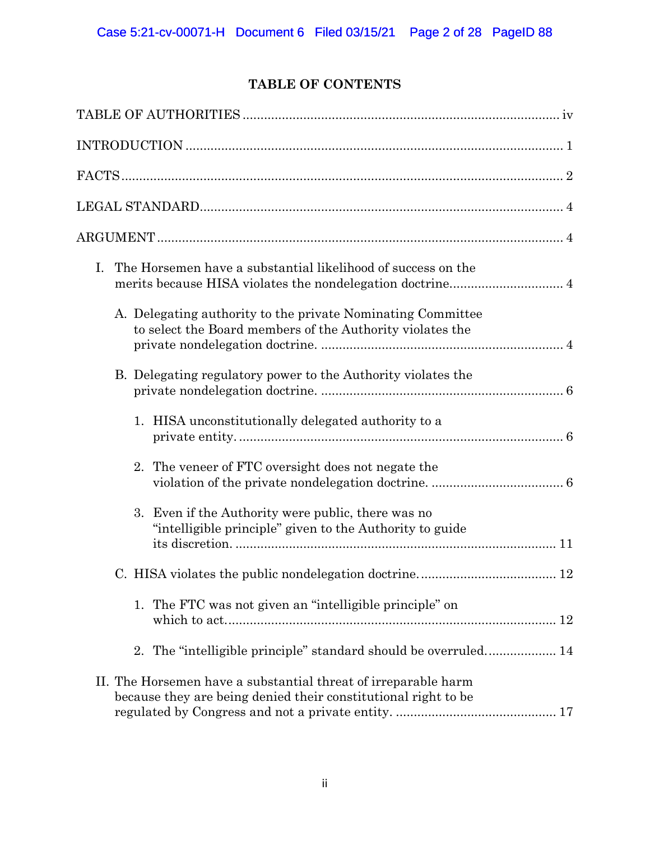# **TABLE OF CONTENTS**

| The Horsemen have a substantial likelihood of success on the<br>I.                                                               |
|----------------------------------------------------------------------------------------------------------------------------------|
| A. Delegating authority to the private Nominating Committee<br>to select the Board members of the Authority violates the         |
| B. Delegating regulatory power to the Authority violates the                                                                     |
| 1. HISA unconstitutionally delegated authority to a                                                                              |
| 2. The veneer of FTC oversight does not negate the                                                                               |
| 3. Even if the Authority were public, there was no<br>"intelligible principle" given to the Authority to guide                   |
|                                                                                                                                  |
| 1. The FTC was not given an "intelligible principle" on                                                                          |
| 2. The "intelligible principle" standard should be overruled 14                                                                  |
| II. The Horsemen have a substantial threat of irreparable harm<br>because they are being denied their constitutional right to be |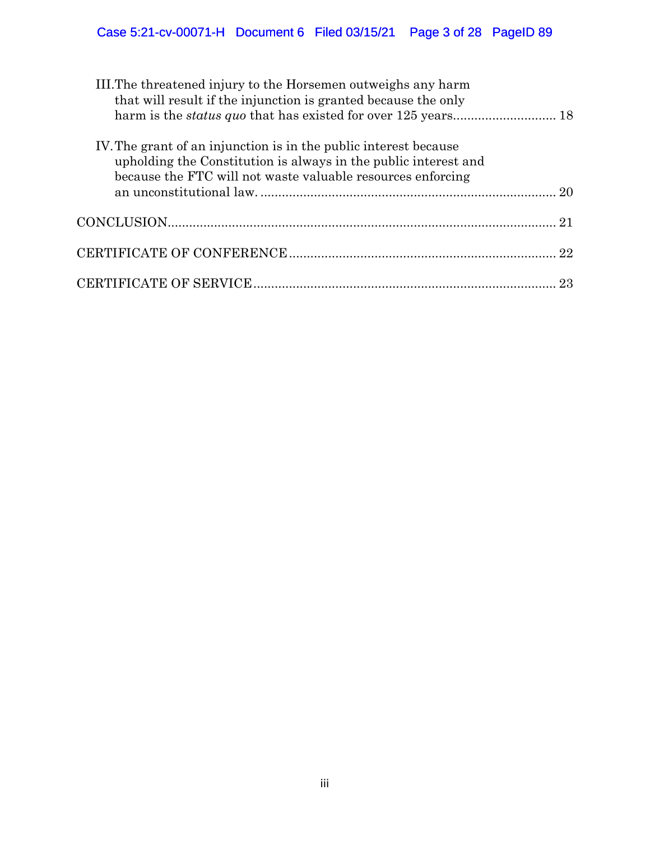# Case 5:21-cv-00071-H Document 6 Filed 03/15/21 Page 3 of 28 PageID 89

| III. The threatened injury to the Horsemen outweighs any harm<br>that will result if the injunction is granted because the only                                                                    |    |
|----------------------------------------------------------------------------------------------------------------------------------------------------------------------------------------------------|----|
| IV. The grant of an injunction is in the public interest because<br>upholding the Constitution is always in the public interest and<br>because the FTC will not waste valuable resources enforcing |    |
|                                                                                                                                                                                                    |    |
|                                                                                                                                                                                                    |    |
|                                                                                                                                                                                                    | 23 |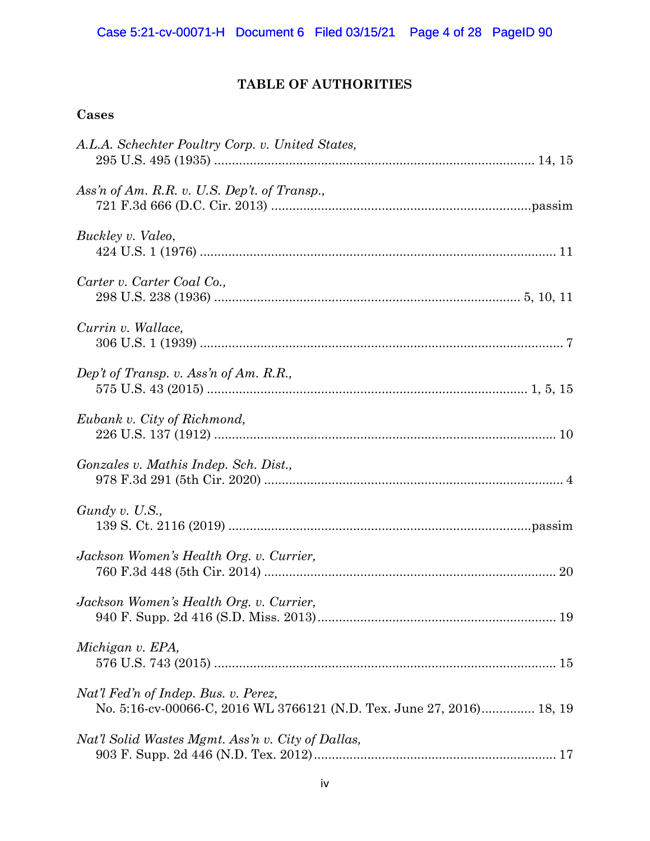## **TABLE OF AUTHORITIES**

## **Cases**

| A.L.A. Schechter Poultry Corp. v. United States,                                                              |  |
|---------------------------------------------------------------------------------------------------------------|--|
| Ass'n of Am. R.R. v. U.S. Dep't. of Transp.,                                                                  |  |
| Buckley v. Valeo,                                                                                             |  |
| Carter v. Carter Coal Co.,                                                                                    |  |
| Currin v. Wallace,                                                                                            |  |
| Dep't of Transp. v. Ass'n of Am. R.R.,                                                                        |  |
| Eubank v. City of Richmond,                                                                                   |  |
| Gonzales v. Mathis Indep. Sch. Dist.,                                                                         |  |
| Gundy v. U.S.,                                                                                                |  |
| Jackson Women's Health Org. v. Currier,                                                                       |  |
| Jackson Women's Health Org. v. Currier,                                                                       |  |
| Michigan v. EPA,                                                                                              |  |
| Nat'l Fed'n of Indep. Bus. v. Perez,<br>No. 5:16-cv-00066-C, 2016 WL 3766121 (N.D. Tex. June 27, 2016) 18, 19 |  |
| Nat'l Solid Wastes Mgmt. Ass'n v. City of Dallas,                                                             |  |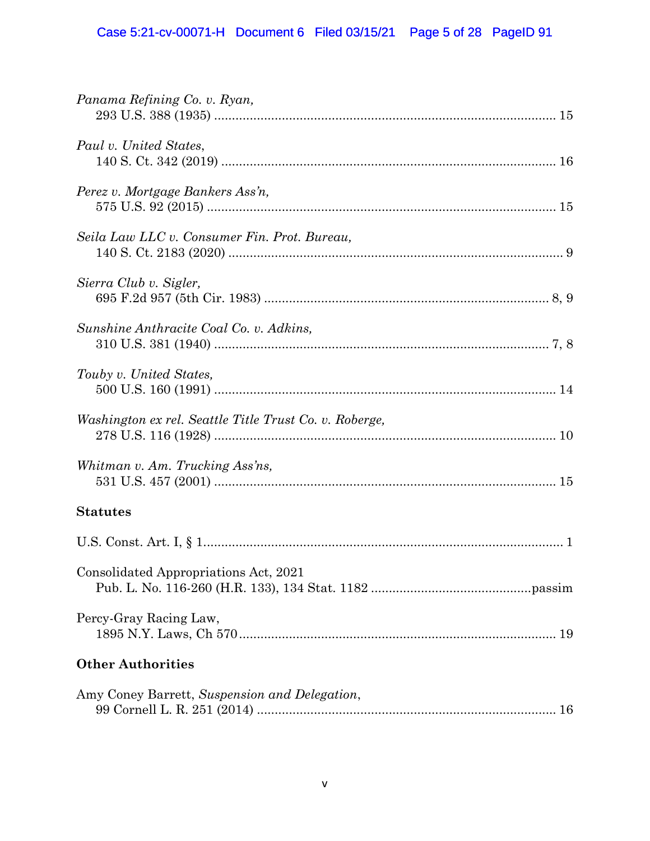| Panama Refining Co. v. Ryan,                           |
|--------------------------------------------------------|
| Paul v. United States,                                 |
| Perez v. Mortgage Bankers Ass'n,                       |
| Seila Law LLC v. Consumer Fin. Prot. Bureau,           |
| Sierra Club v. Sigler,                                 |
| Sunshine Anthracite Coal Co. v. Adkins,                |
| Touby v. United States,                                |
| Washington ex rel. Seattle Title Trust Co. v. Roberge, |
| Whitman v. Am. Trucking Ass'ns,                        |
| <b>Statutes</b>                                        |
|                                                        |
| Consolidated Appropriations Act, 2021                  |
| Percy-Gray Racing Law,                                 |
| <b>Other Authorities</b>                               |
| Amy Coney Barrett, Suspension and Delegation,          |

| Allly Colley Barrett, <i>Suspension and Delegation</i> , |  |
|----------------------------------------------------------|--|
|                                                          |  |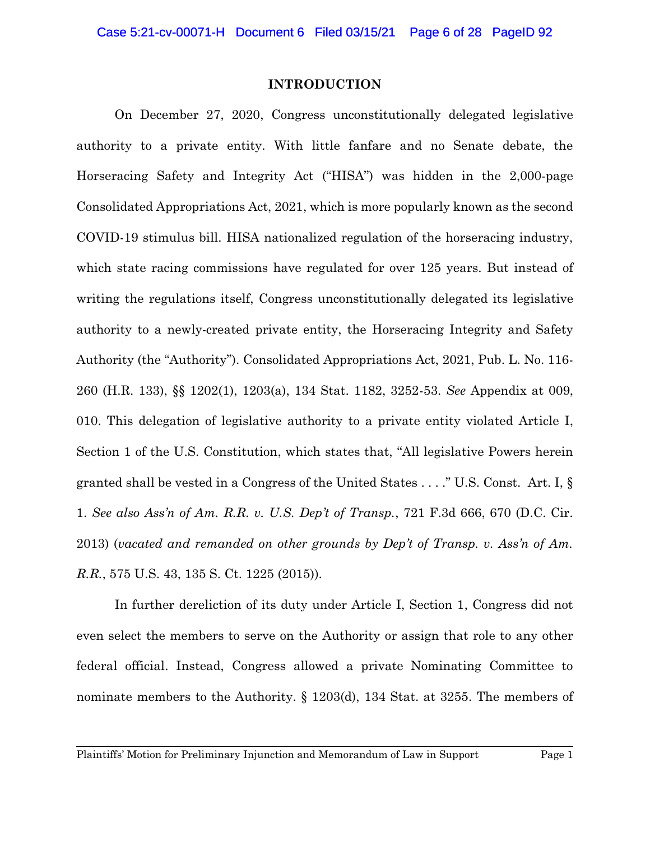#### **INTRODUCTION**

On December 27, 2020, Congress unconstitutionally delegated legislative authority to a private entity. With little fanfare and no Senate debate, the Horseracing Safety and Integrity Act ("HISA") was hidden in the 2,000-page Consolidated Appropriations Act, 2021, which is more popularly known as the second COVID-19 stimulus bill. HISA nationalized regulation of the horseracing industry, which state racing commissions have regulated for over 125 years. But instead of writing the regulations itself, Congress unconstitutionally delegated its legislative authority to a newly-created private entity, the Horseracing Integrity and Safety Authority (the "Authority"). Consolidated Appropriations Act, 2021, Pub. L. No. 116- 260 (H.R. 133), §§ 1202(1), 1203(a), 134 Stat. 1182, 3252-53. *See* Appendix at 009, 010. This delegation of legislative authority to a private entity violated Article I, Section 1 of the U.S. Constitution, which states that, "All legislative Powers herein granted shall be vested in a Congress of the United States . . . ." U.S. Const. Art. I, § 1. *See also Ass'n of Am. R.R. v. U.S. Dep't of Transp.*, 721 F.3d 666, 670 (D.C. Cir. 2013) (*vacated and remanded on other grounds by Dep't of Transp. v. Ass'n of Am. R.R.*, 575 U.S. 43, 135 S. Ct. 1225 (2015)).

In further dereliction of its duty under Article I, Section 1, Congress did not even select the members to serve on the Authority or assign that role to any other federal official. Instead, Congress allowed a private Nominating Committee to nominate members to the Authority. § 1203(d), 134 Stat. at 3255. The members of

Plaintiffs' Motion for Preliminary Injunction and Memorandum of Law in Support Page 1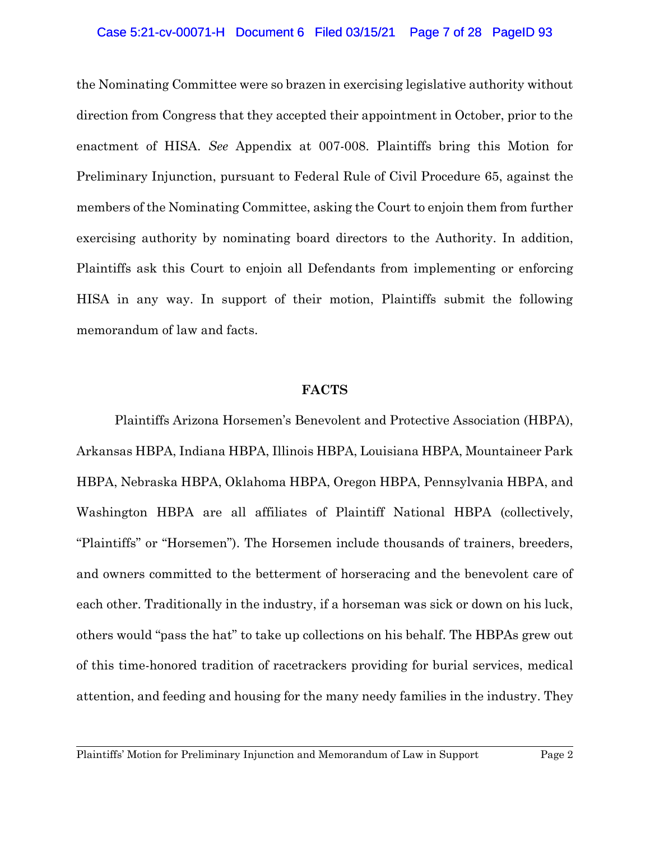#### Case 5:21-cv-00071-H Document 6 Filed 03/15/21 Page 7 of 28 PageID 93

the Nominating Committee were so brazen in exercising legislative authority without direction from Congress that they accepted their appointment in October, prior to the enactment of HISA. *See* Appendix at 007-008. Plaintiffs bring this Motion for Preliminary Injunction, pursuant to Federal Rule of Civil Procedure 65, against the members of the Nominating Committee, asking the Court to enjoin them from further exercising authority by nominating board directors to the Authority. In addition, Plaintiffs ask this Court to enjoin all Defendants from implementing or enforcing HISA in any way. In support of their motion, Plaintiffs submit the following memorandum of law and facts.

#### **FACTS**

Plaintiffs Arizona Horsemen's Benevolent and Protective Association (HBPA), Arkansas HBPA, Indiana HBPA, Illinois HBPA, Louisiana HBPA, Mountaineer Park HBPA, Nebraska HBPA, Oklahoma HBPA, Oregon HBPA, Pennsylvania HBPA, and Washington HBPA are all affiliates of Plaintiff National HBPA (collectively, "Plaintiffs" or "Horsemen"). The Horsemen include thousands of trainers, breeders, and owners committed to the betterment of horseracing and the benevolent care of each other. Traditionally in the industry, if a horseman was sick or down on his luck, others would "pass the hat" to take up collections on his behalf. The HBPAs grew out of this time-honored tradition of racetrackers providing for burial services, medical attention, and feeding and housing for the many needy families in the industry. They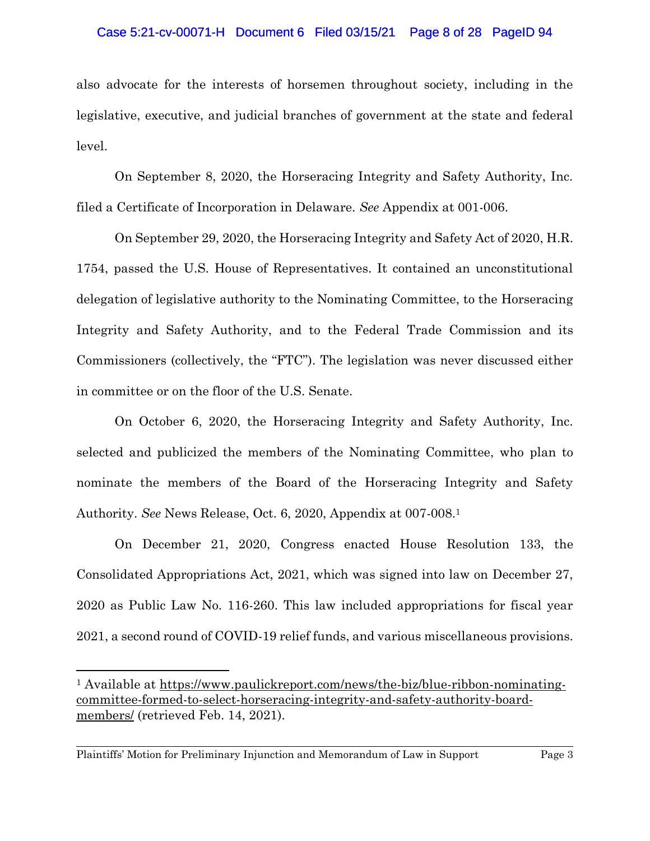#### Case 5:21-cv-00071-H Document 6 Filed 03/15/21 Page 8 of 28 PageID 94

also advocate for the interests of horsemen throughout society, including in the legislative, executive, and judicial branches of government at the state and federal level.

On September 8, 2020, the Horseracing Integrity and Safety Authority, Inc. filed a Certificate of Incorporation in Delaware. *See* Appendix at 001-006.

On September 29, 2020, the Horseracing Integrity and Safety Act of 2020, H.R. 1754, passed the U.S. House of Representatives. It contained an unconstitutional delegation of legislative authority to the Nominating Committee, to the Horseracing Integrity and Safety Authority, and to the Federal Trade Commission and its Commissioners (collectively, the "FTC"). The legislation was never discussed either in committee or on the floor of the U.S. Senate.

On October 6, 2020, the Horseracing Integrity and Safety Authority, Inc. selected and publicized the members of the Nominating Committee, who plan to nominate the members of the Board of the Horseracing Integrity and Safety Authority. *See* News Release, Oct. 6, 2020, Appendix at 007-008.<sup>1</sup>

On December 21, 2020, Congress enacted House Resolution 133, the Consolidated Appropriations Act, 2021, which was signed into law on December 27, 2020 as Public Law No. 116-260. This law included appropriations for fiscal year 2021, a second round of COVID-19 relief funds, and various miscellaneous provisions.

<sup>1</sup> Available at https://www.paulickreport.com/news/the-biz/blue-ribbon-nominatingcommittee-formed-to-select-horseracing-integrity-and-safety-authority-boardmembers/ (retrieved Feb. 14, 2021).

Plaintiffs' Motion for Preliminary Injunction and Memorandum of Law in Support Page 3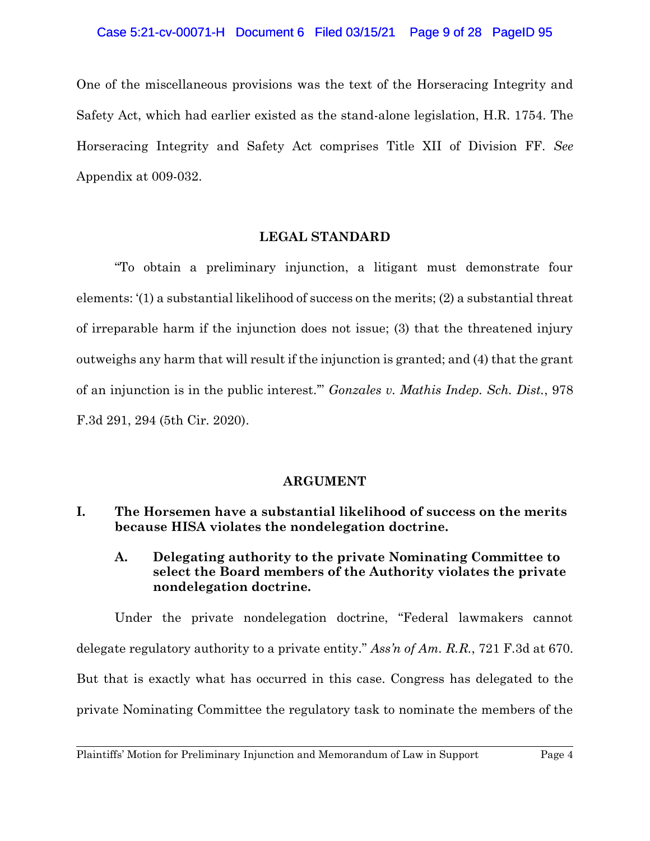#### Case 5:21-cv-00071-H Document 6 Filed 03/15/21 Page 9 of 28 PageID 95

One of the miscellaneous provisions was the text of the Horseracing Integrity and Safety Act, which had earlier existed as the stand-alone legislation, H.R. 1754. The Horseracing Integrity and Safety Act comprises Title XII of Division FF. *See* Appendix at 009-032.

#### **LEGAL STANDARD**

"To obtain a preliminary injunction, a litigant must demonstrate four elements: '(1) a substantial likelihood of success on the merits; (2) a substantial threat of irreparable harm if the injunction does not issue; (3) that the threatened injury outweighs any harm that will result if the injunction is granted; and (4) that the grant of an injunction is in the public interest.'" *Gonzales v. Mathis Indep. Sch. Dist.*, 978 F.3d 291, 294 (5th Cir. 2020).

#### **ARGUMENT**

## **I. The Horsemen have a substantial likelihood of success on the merits because HISA violates the nondelegation doctrine.**

## **A. Delegating authority to the private Nominating Committee to select the Board members of the Authority violates the private nondelegation doctrine.**

Under the private nondelegation doctrine, "Federal lawmakers cannot delegate regulatory authority to a private entity." *Ass'n of Am. R.R.*, 721 F.3d at 670. But that is exactly what has occurred in this case. Congress has delegated to the private Nominating Committee the regulatory task to nominate the members of the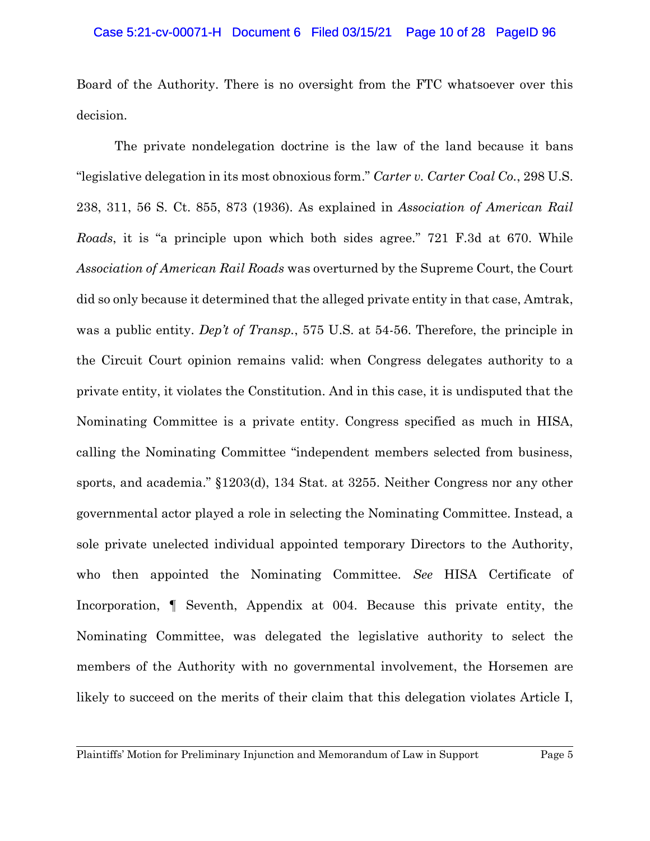Board of the Authority. There is no oversight from the FTC whatsoever over this decision.

The private nondelegation doctrine is the law of the land because it bans "legislative delegation in its most obnoxious form." *Carter v. Carter Coal Co.*, 298 U.S. 238, 311, 56 S. Ct. 855, 873 (1936). As explained in *Association of American Rail Roads*, it is "a principle upon which both sides agree." 721 F.3d at 670. While *Association of American Rail Roads* was overturned by the Supreme Court, the Court did so only because it determined that the alleged private entity in that case, Amtrak, was a public entity. *Dep't of Transp.*, 575 U.S. at 54-56. Therefore, the principle in the Circuit Court opinion remains valid: when Congress delegates authority to a private entity, it violates the Constitution. And in this case, it is undisputed that the Nominating Committee is a private entity. Congress specified as much in HISA, calling the Nominating Committee "independent members selected from business, sports, and academia." §1203(d), 134 Stat. at 3255. Neither Congress nor any other governmental actor played a role in selecting the Nominating Committee. Instead, a sole private unelected individual appointed temporary Directors to the Authority, who then appointed the Nominating Committee. *See* HISA Certificate of Incorporation, ¶ Seventh, Appendix at 004. Because this private entity, the Nominating Committee, was delegated the legislative authority to select the members of the Authority with no governmental involvement, the Horsemen are likely to succeed on the merits of their claim that this delegation violates Article I,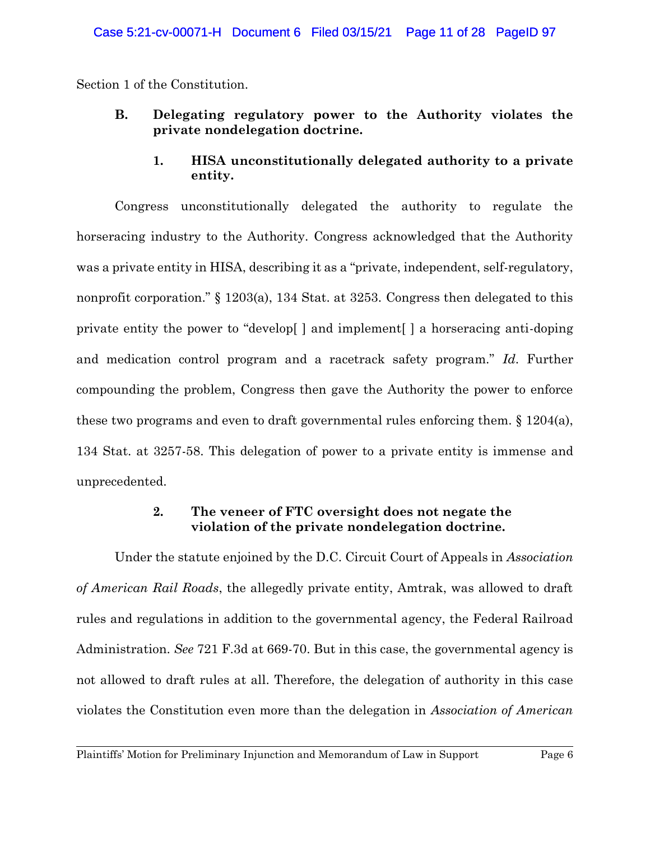Section 1 of the Constitution.

**B. Delegating regulatory power to the Authority violates the private nondelegation doctrine.**

## **1. HISA unconstitutionally delegated authority to a private entity.**

Congress unconstitutionally delegated the authority to regulate the horseracing industry to the Authority. Congress acknowledged that the Authority was a private entity in HISA, describing it as a "private, independent, self-regulatory, nonprofit corporation." § 1203(a), 134 Stat. at 3253. Congress then delegated to this private entity the power to "develop[ ] and implement[ ] a horseracing anti-doping and medication control program and a racetrack safety program." *Id*. Further compounding the problem, Congress then gave the Authority the power to enforce these two programs and even to draft governmental rules enforcing them. § 1204(a), 134 Stat. at 3257-58. This delegation of power to a private entity is immense and unprecedented.

## **2. The veneer of FTC oversight does not negate the violation of the private nondelegation doctrine.**

Under the statute enjoined by the D.C. Circuit Court of Appeals in *Association of American Rail Roads*, the allegedly private entity, Amtrak, was allowed to draft rules and regulations in addition to the governmental agency, the Federal Railroad Administration. *See* 721 F.3d at 669-70. But in this case, the governmental agency is not allowed to draft rules at all. Therefore, the delegation of authority in this case violates the Constitution even more than the delegation in *Association of American*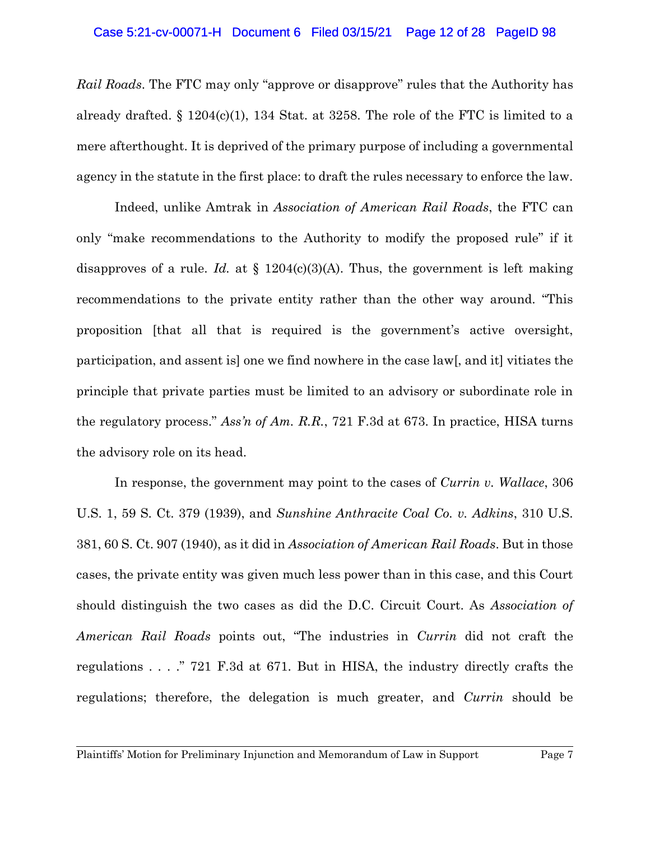#### Case 5:21-cv-00071-H Document 6 Filed 03/15/21 Page 12 of 28 PageID 98

*Rail Roads*. The FTC may only "approve or disapprove" rules that the Authority has already drafted.  $\S 1204(c)(1)$ , 134 Stat. at 3258. The role of the FTC is limited to a mere afterthought. It is deprived of the primary purpose of including a governmental agency in the statute in the first place: to draft the rules necessary to enforce the law.

Indeed, unlike Amtrak in *Association of American Rail Roads*, the FTC can only "make recommendations to the Authority to modify the proposed rule" if it disapproves of a rule. *Id.* at  $\S$  1204(c)(3)(A). Thus, the government is left making recommendations to the private entity rather than the other way around. "This proposition [that all that is required is the government's active oversight, participation, and assent is] one we find nowhere in the case law[, and it] vitiates the principle that private parties must be limited to an advisory or subordinate role in the regulatory process." *Ass'n of Am. R.R.*, 721 F.3d at 673. In practice, HISA turns the advisory role on its head.

In response, the government may point to the cases of *Currin v. Wallace*, 306 U.S. 1, 59 S. Ct. 379 (1939), and *Sunshine Anthracite Coal Co. v. Adkins*, 310 U.S. 381, 60 S. Ct. 907 (1940), as it did in *Association of American Rail Roads*. But in those cases, the private entity was given much less power than in this case, and this Court should distinguish the two cases as did the D.C. Circuit Court. As *Association of American Rail Roads* points out, "The industries in *Currin* did not craft the regulations . . . ." 721 F.3d at 671. But in HISA, the industry directly crafts the regulations; therefore, the delegation is much greater, and *Currin* should be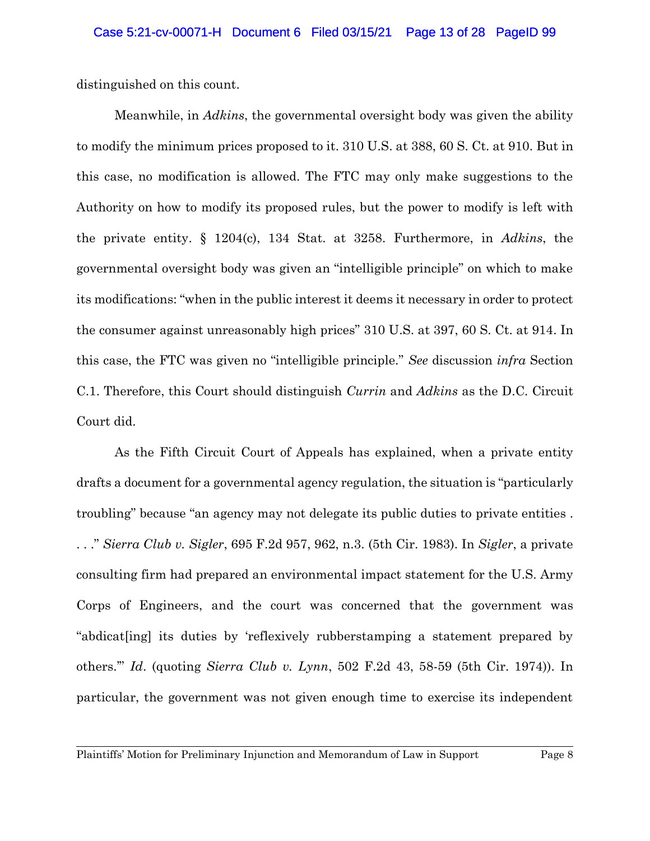distinguished on this count.

Meanwhile, in *Adkins*, the governmental oversight body was given the ability to modify the minimum prices proposed to it. 310 U.S. at 388, 60 S. Ct. at 910. But in this case, no modification is allowed. The FTC may only make suggestions to the Authority on how to modify its proposed rules, but the power to modify is left with the private entity. § 1204(c), 134 Stat. at 3258. Furthermore, in *Adkins*, the governmental oversight body was given an "intelligible principle" on which to make its modifications: "when in the public interest it deems it necessary in order to protect the consumer against unreasonably high prices" 310 U.S. at 397, 60 S. Ct. at 914. In this case, the FTC was given no "intelligible principle." *See* discussion *infra* Section C.1. Therefore, this Court should distinguish *Currin* and *Adkins* as the D.C. Circuit Court did.

As the Fifth Circuit Court of Appeals has explained, when a private entity drafts a document for a governmental agency regulation, the situation is "particularly troubling" because "an agency may not delegate its public duties to private entities . . . ." *Sierra Club v. Sigler*, 695 F.2d 957, 962, n.3. (5th Cir. 1983). In *Sigler*, a private consulting firm had prepared an environmental impact statement for the U.S. Army Corps of Engineers, and the court was concerned that the government was "abdicat[ing] its duties by 'reflexively rubberstamping a statement prepared by others.'" *Id*. (quoting *Sierra Club v. Lynn*, 502 F.2d 43, 58-59 (5th Cir. 1974)). In particular, the government was not given enough time to exercise its independent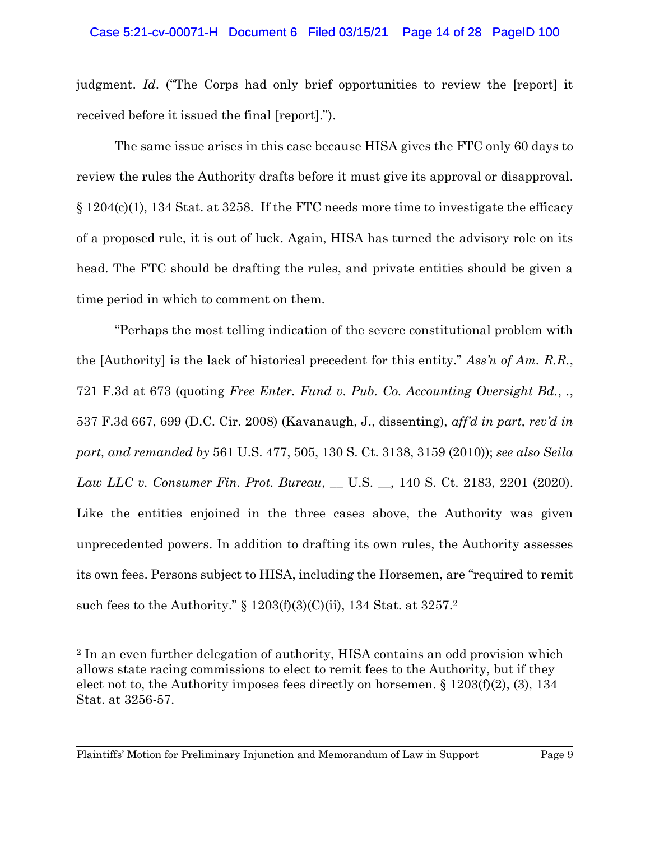judgment. *Id*. ("The Corps had only brief opportunities to review the [report] it received before it issued the final [report].").

The same issue arises in this case because HISA gives the FTC only 60 days to review the rules the Authority drafts before it must give its approval or disapproval. § 1204(c)(1), 134 Stat. at 3258. If the FTC needs more time to investigate the efficacy of a proposed rule, it is out of luck. Again, HISA has turned the advisory role on its head. The FTC should be drafting the rules, and private entities should be given a time period in which to comment on them.

"Perhaps the most telling indication of the severe constitutional problem with the [Authority] is the lack of historical precedent for this entity." *Ass'n of Am. R.R.*, 721 F.3d at 673 (quoting *Free Enter. Fund v. Pub. Co. Accounting Oversight Bd.*, *.*, 537 F.3d 667, 699 (D.C. Cir. 2008) (Kavanaugh, J., dissenting), *aff'd in part, rev'd in part, and remanded by* 561 U.S. 477, 505, 130 S. Ct. 3138, 3159 (2010)); *see also Seila Law LLC v. Consumer Fin. Prot. Bureau*, \_\_ U.S. \_\_, 140 S. Ct. 2183, 2201 (2020). Like the entities enjoined in the three cases above, the Authority was given unprecedented powers. In addition to drafting its own rules, the Authority assesses its own fees. Persons subject to HISA, including the Horsemen, are "required to remit such fees to the Authority." § 1203(f)(3)(C)(ii), 134 Stat. at 3257.<sup>2</sup>

<sup>2</sup> In an even further delegation of authority, HISA contains an odd provision which allows state racing commissions to elect to remit fees to the Authority, but if they elect not to, the Authority imposes fees directly on horsemen. § 1203(f)(2), (3), 134 Stat. at 3256-57.

Plaintiffs' Motion for Preliminary Injunction and Memorandum of Law in Support Page 9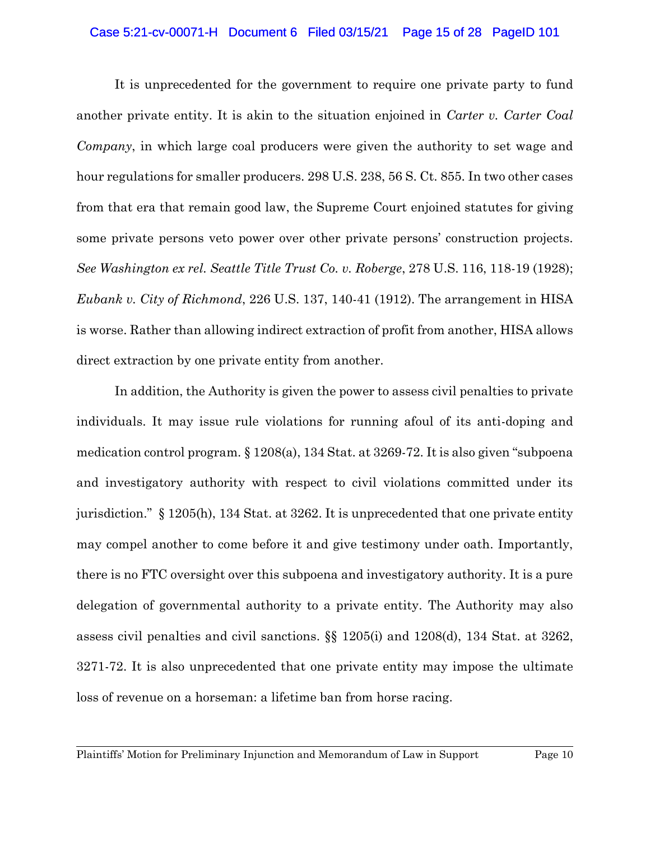#### Case 5:21-cv-00071-H Document 6 Filed 03/15/21 Page 15 of 28 PageID 101

It is unprecedented for the government to require one private party to fund another private entity. It is akin to the situation enjoined in *Carter v. Carter Coal Company*, in which large coal producers were given the authority to set wage and hour regulations for smaller producers. 298 U.S. 238, 56 S. Ct. 855. In two other cases from that era that remain good law, the Supreme Court enjoined statutes for giving some private persons veto power over other private persons' construction projects. *See Washington ex rel. Seattle Title Trust Co. v. Roberge*, 278 U.S. 116, 118-19 (1928); *Eubank v. City of Richmond*, 226 U.S. 137, 140-41 (1912). The arrangement in HISA is worse. Rather than allowing indirect extraction of profit from another, HISA allows direct extraction by one private entity from another.

In addition, the Authority is given the power to assess civil penalties to private individuals. It may issue rule violations for running afoul of its anti-doping and medication control program. § 1208(a), 134 Stat. at 3269-72. It is also given "subpoena and investigatory authority with respect to civil violations committed under its jurisdiction." § 1205(h), 134 Stat. at 3262. It is unprecedented that one private entity may compel another to come before it and give testimony under oath. Importantly, there is no FTC oversight over this subpoena and investigatory authority. It is a pure delegation of governmental authority to a private entity. The Authority may also assess civil penalties and civil sanctions. §§ 1205(i) and 1208(d), 134 Stat. at 3262, 3271-72. It is also unprecedented that one private entity may impose the ultimate loss of revenue on a horseman: a lifetime ban from horse racing.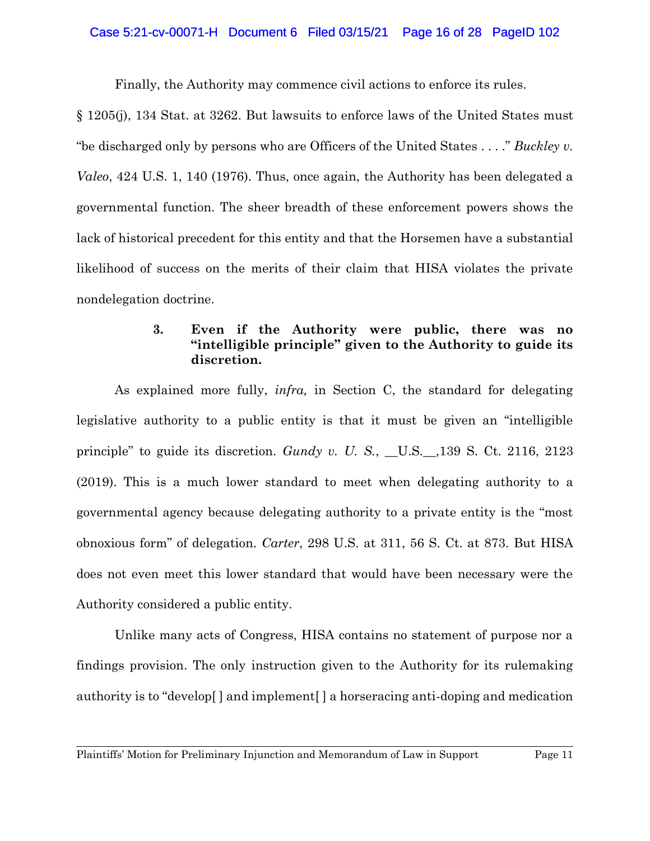#### Case 5:21-cv-00071-H Document 6 Filed 03/15/21 Page 16 of 28 PageID 102

Finally, the Authority may commence civil actions to enforce its rules.

§ 1205(j), 134 Stat. at 3262. But lawsuits to enforce laws of the United States must "be discharged only by persons who are Officers of the United States . . . ." *Buckley v. Valeo*, 424 U.S. 1, 140 (1976). Thus, once again, the Authority has been delegated a governmental function. The sheer breadth of these enforcement powers shows the lack of historical precedent for this entity and that the Horsemen have a substantial likelihood of success on the merits of their claim that HISA violates the private nondelegation doctrine.

## **3. Even if the Authority were public, there was no "intelligible principle" given to the Authority to guide its discretion.**

As explained more fully, *infra,* in Section C, the standard for delegating legislative authority to a public entity is that it must be given an "intelligible principle" to guide its discretion. *Gundy v. U. S.*, \_\_U.S.\_\_,139 S. Ct. 2116, 2123 (2019). This is a much lower standard to meet when delegating authority to a governmental agency because delegating authority to a private entity is the "most obnoxious form" of delegation. *Carter*, 298 U.S. at 311, 56 S. Ct. at 873. But HISA does not even meet this lower standard that would have been necessary were the Authority considered a public entity.

Unlike many acts of Congress, HISA contains no statement of purpose nor a findings provision. The only instruction given to the Authority for its rulemaking authority is to "develop[ ] and implement[ ] a horseracing anti-doping and medication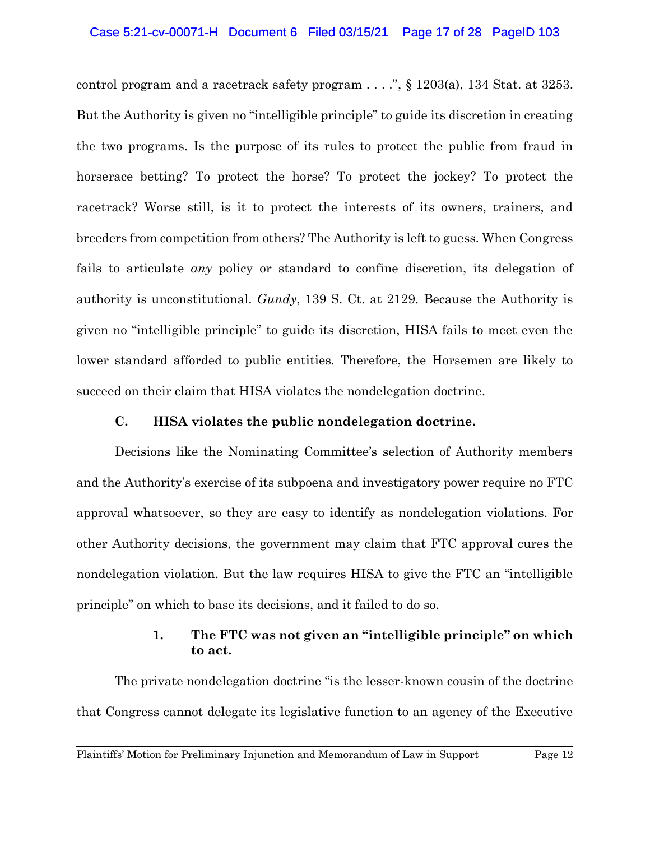#### Case 5:21-cv-00071-H Document 6 Filed 03/15/21 Page 17 of 28 PageID 103

control program and a racetrack safety program  $\ldots$ ,  $\S$  1203(a), 134 Stat. at 3253. But the Authority is given no "intelligible principle" to guide its discretion in creating the two programs. Is the purpose of its rules to protect the public from fraud in horserace betting? To protect the horse? To protect the jockey? To protect the racetrack? Worse still, is it to protect the interests of its owners, trainers, and breeders from competition from others? The Authority is left to guess. When Congress fails to articulate *any* policy or standard to confine discretion, its delegation of authority is unconstitutional. *Gundy*, 139 S. Ct. at 2129. Because the Authority is given no "intelligible principle" to guide its discretion, HISA fails to meet even the lower standard afforded to public entities. Therefore, the Horsemen are likely to succeed on their claim that HISA violates the nondelegation doctrine.

#### **C. HISA violates the public nondelegation doctrine.**

Decisions like the Nominating Committee's selection of Authority members and the Authority's exercise of its subpoena and investigatory power require no FTC approval whatsoever, so they are easy to identify as nondelegation violations. For other Authority decisions, the government may claim that FTC approval cures the nondelegation violation. But the law requires HISA to give the FTC an "intelligible principle" on which to base its decisions, and it failed to do so.

## **1. The FTC was not given an "intelligible principle" on which to act.**

The private nondelegation doctrine "is the lesser-known cousin of the doctrine that Congress cannot delegate its legislative function to an agency of the Executive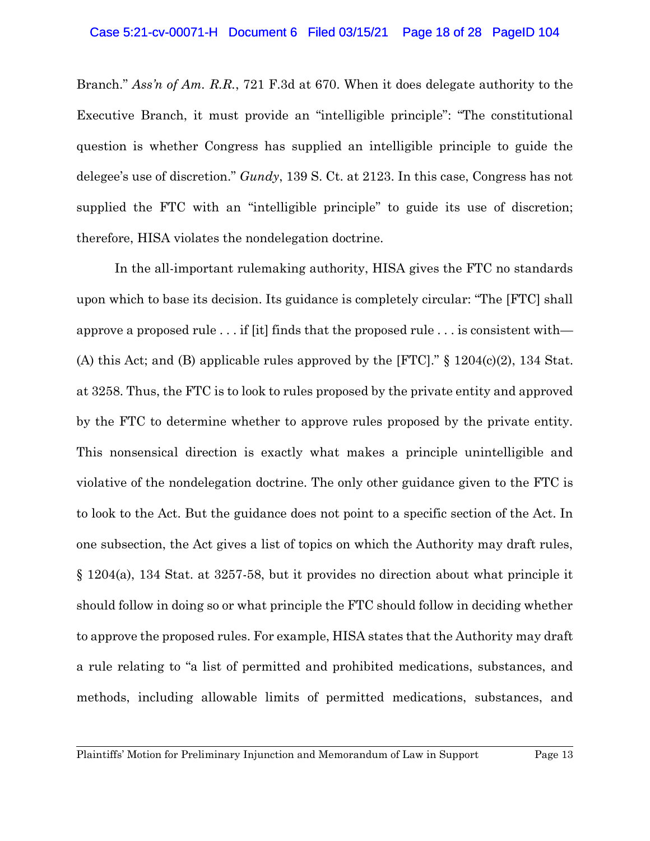Branch." *Ass'n of Am. R.R.*, 721 F.3d at 670. When it does delegate authority to the Executive Branch, it must provide an "intelligible principle": "The constitutional question is whether Congress has supplied an intelligible principle to guide the delegee's use of discretion." *Gundy*, 139 S. Ct. at 2123. In this case, Congress has not supplied the FTC with an "intelligible principle" to guide its use of discretion; therefore, HISA violates the nondelegation doctrine.

In the all-important rulemaking authority, HISA gives the FTC no standards upon which to base its decision. Its guidance is completely circular: "The [FTC] shall approve a proposed rule . . . if [it] finds that the proposed rule . . . is consistent with— (A) this Act; and (B) applicable rules approved by the [FTC]." § 1204(c)(2), 134 Stat. at 3258. Thus, the FTC is to look to rules proposed by the private entity and approved by the FTC to determine whether to approve rules proposed by the private entity. This nonsensical direction is exactly what makes a principle unintelligible and violative of the nondelegation doctrine. The only other guidance given to the FTC is to look to the Act. But the guidance does not point to a specific section of the Act. In one subsection, the Act gives a list of topics on which the Authority may draft rules, § 1204(a), 134 Stat. at 3257-58, but it provides no direction about what principle it should follow in doing so or what principle the FTC should follow in deciding whether to approve the proposed rules. For example, HISA states that the Authority may draft a rule relating to "a list of permitted and prohibited medications, substances, and methods, including allowable limits of permitted medications, substances, and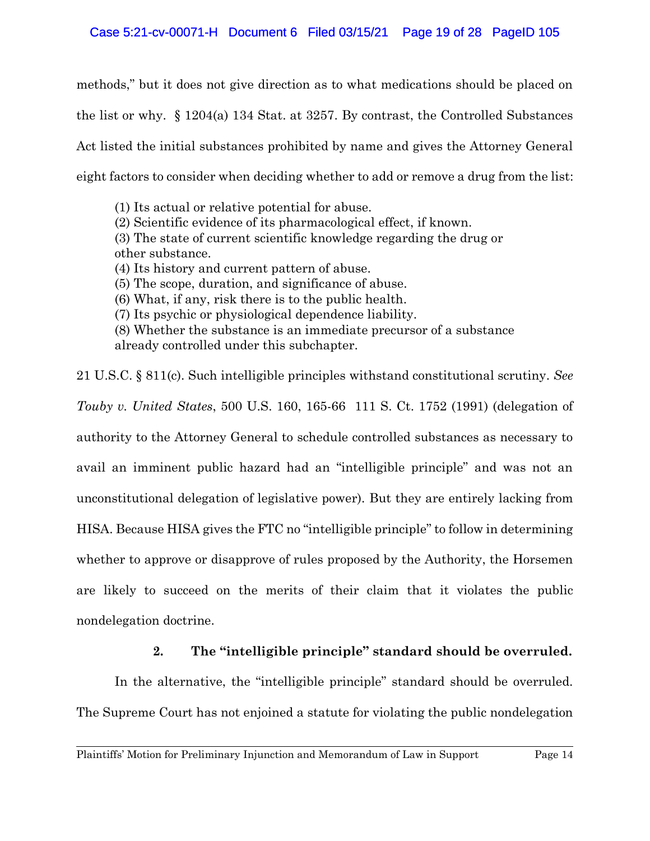## Case 5:21-cv-00071-H Document 6 Filed 03/15/21 Page 19 of 28 PageID 105

methods," but it does not give direction as to what medications should be placed on the list or why. § 1204(a) 134 Stat. at 3257. By contrast, the Controlled Substances Act listed the initial substances prohibited by name and gives the Attorney General eight factors to consider when deciding whether to add or remove a drug from the list:

(1) Its actual or relative potential for abuse. (2) Scientific evidence of its pharmacological effect, if known. (3) The state of current scientific knowledge regarding the drug or other substance. (4) Its history and current pattern of abuse. (5) The scope, duration, and significance of abuse. (6) What, if any, risk there is to the public health. (7) Its psychic or physiological dependence liability. (8) Whether the substance is an immediate precursor of a substance already controlled under this subchapter.

21 U.S.C. § 811(c). Such intelligible principles withstand constitutional scrutiny. *See Touby v. United States*, 500 U.S. 160, 165-66 111 S. Ct. 1752 (1991) (delegation of authority to the Attorney General to schedule controlled substances as necessary to avail an imminent public hazard had an "intelligible principle" and was not an unconstitutional delegation of legislative power). But they are entirely lacking from HISA. Because HISA gives the FTC no "intelligible principle" to follow in determining whether to approve or disapprove of rules proposed by the Authority, the Horsemen are likely to succeed on the merits of their claim that it violates the public nondelegation doctrine.

## **2. The "intelligible principle" standard should be overruled.**

In the alternative, the "intelligible principle" standard should be overruled. The Supreme Court has not enjoined a statute for violating the public nondelegation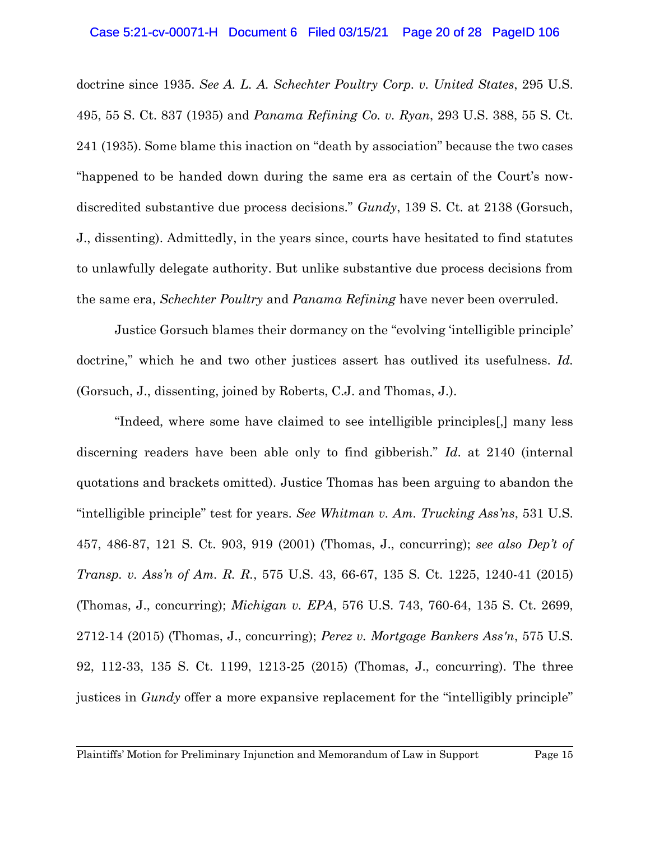#### Case 5:21-cv-00071-H Document 6 Filed 03/15/21 Page 20 of 28 PageID 106

doctrine since 1935. *See A. L. A. Schechter Poultry Corp. v. United States*, 295 U.S. 495, 55 S. Ct. 837 (1935) and *Panama Refining Co. v. Ryan*, 293 U.S. 388, 55 S. Ct. 241 (1935). Some blame this inaction on "death by association" because the two cases "happened to be handed down during the same era as certain of the Court's nowdiscredited substantive due process decisions." *Gundy*, 139 S. Ct. at 2138 (Gorsuch, J., dissenting). Admittedly, in the years since, courts have hesitated to find statutes to unlawfully delegate authority. But unlike substantive due process decisions from the same era, *Schechter Poultry* and *Panama Refining* have never been overruled.

Justice Gorsuch blames their dormancy on the "evolving 'intelligible principle' doctrine," which he and two other justices assert has outlived its usefulness. *Id.* (Gorsuch, J., dissenting, joined by Roberts, C.J. and Thomas, J.).

"Indeed, where some have claimed to see intelligible principles[,] many less discerning readers have been able only to find gibberish." *Id*. at 2140 (internal quotations and brackets omitted). Justice Thomas has been arguing to abandon the "intelligible principle" test for years. *See Whitman v. Am. Trucking Ass'ns*, 531 U.S. 457, 486-87, 121 S. Ct. 903, 919 (2001) (Thomas, J., concurring); *see also Dep't of Transp. v. Ass'n of Am. R. R.*, 575 U.S. 43, 66-67, 135 S. Ct. 1225, 1240-41 (2015) (Thomas, J., concurring); *Michigan v. EPA*, 576 U.S. 743, 760-64, 135 S. Ct. 2699, 2712-14 (2015) (Thomas, J., concurring); *Perez v. Mortgage Bankers Ass'n*, 575 U.S. 92, 112-33, 135 S. Ct. 1199, 1213-25 (2015) (Thomas, J., concurring). The three justices in *Gundy* offer a more expansive replacement for the "intelligibly principle"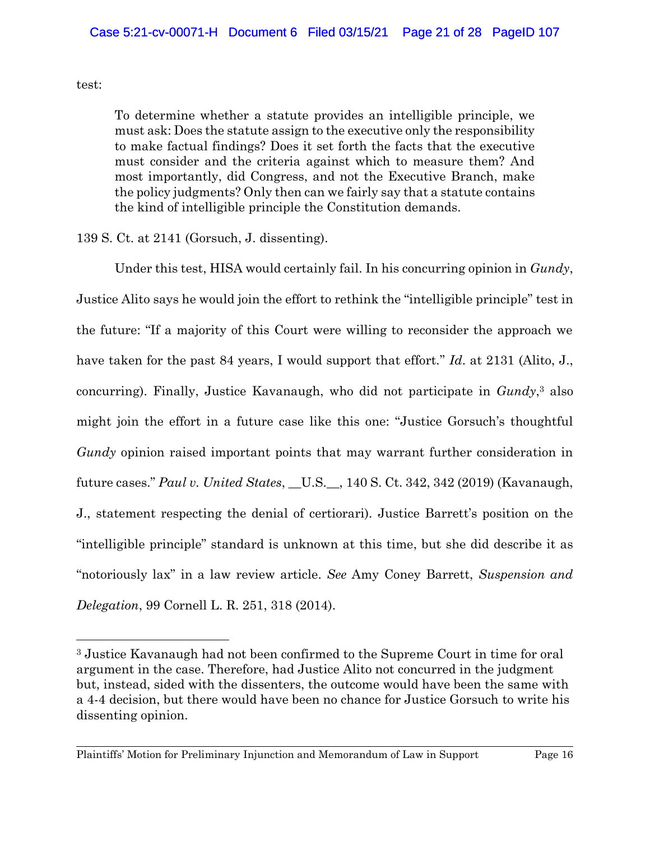#### test:

To determine whether a statute provides an intelligible principle, we must ask: Does the statute assign to the executive only the responsibility to make factual findings? Does it set forth the facts that the executive must consider and the criteria against which to measure them? And most importantly, did Congress, and not the Executive Branch, make the policy judgments? Only then can we fairly say that a statute contains the kind of intelligible principle the Constitution demands.

## 139 S. Ct. at 2141 (Gorsuch, J. dissenting).

Under this test, HISA would certainly fail. In his concurring opinion in *Gundy*, Justice Alito says he would join the effort to rethink the "intelligible principle" test in the future: "If a majority of this Court were willing to reconsider the approach we have taken for the past 84 years, I would support that effort." *Id*. at 2131 (Alito, J., concurring). Finally, Justice Kavanaugh, who did not participate in *Gundy*, <sup>3</sup> also might join the effort in a future case like this one: "Justice Gorsuch's thoughtful *Gundy* opinion raised important points that may warrant further consideration in future cases." *Paul v. United States*, \_\_U.S.\_\_, 140 S. Ct. 342, 342 (2019) (Kavanaugh, J., statement respecting the denial of certiorari). Justice Barrett's position on the "intelligible principle" standard is unknown at this time, but she did describe it as "notoriously lax" in a law review article. *See* Amy Coney Barrett, *Suspension and Delegation*, 99 Cornell L. R. 251, 318 (2014).

<sup>3</sup> Justice Kavanaugh had not been confirmed to the Supreme Court in time for oral argument in the case. Therefore, had Justice Alito not concurred in the judgment but, instead, sided with the dissenters, the outcome would have been the same with a 4-4 decision, but there would have been no chance for Justice Gorsuch to write his dissenting opinion.

Plaintiffs' Motion for Preliminary Injunction and Memorandum of Law in Support Page 16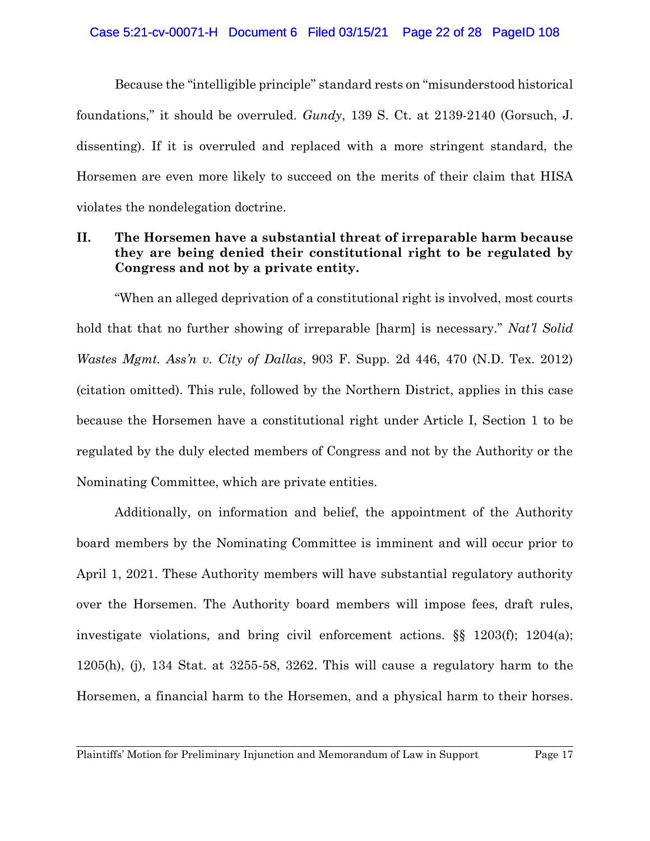Because the "intelligible principle" standard rests on "misunderstood historical foundations," it should be overruled. *Gundy*, 139 S. Ct. at 2139-2140 (Gorsuch, J. dissenting). If it is overruled and replaced with a more stringent standard, the Horsemen are even more likely to succeed on the merits of their claim that HISA violates the nondelegation doctrine.

## **II. The Horsemen have a substantial threat of irreparable harm because they are being denied their constitutional right to be regulated by Congress and not by a private entity.**

"When an alleged deprivation of a constitutional right is involved, most courts hold that that no further showing of irreparable [harm] is necessary." *Nat'l Solid Wastes Mgmt. Ass'n v. City of Dallas*, 903 F. Supp. 2d 446, 470 (N.D. Tex. 2012) (citation omitted). This rule, followed by the Northern District, applies in this case because the Horsemen have a constitutional right under Article I, Section 1 to be regulated by the duly elected members of Congress and not by the Authority or the Nominating Committee, which are private entities.

Additionally, on information and belief, the appointment of the Authority board members by the Nominating Committee is imminent and will occur prior to April 1, 2021. These Authority members will have substantial regulatory authority over the Horsemen. The Authority board members will impose fees, draft rules, investigate violations, and bring civil enforcement actions. §§ 1203(f); 1204(a); 1205(h), (j), 134 Stat. at 3255-58, 3262. This will cause a regulatory harm to the Horsemen, a financial harm to the Horsemen, and a physical harm to their horses.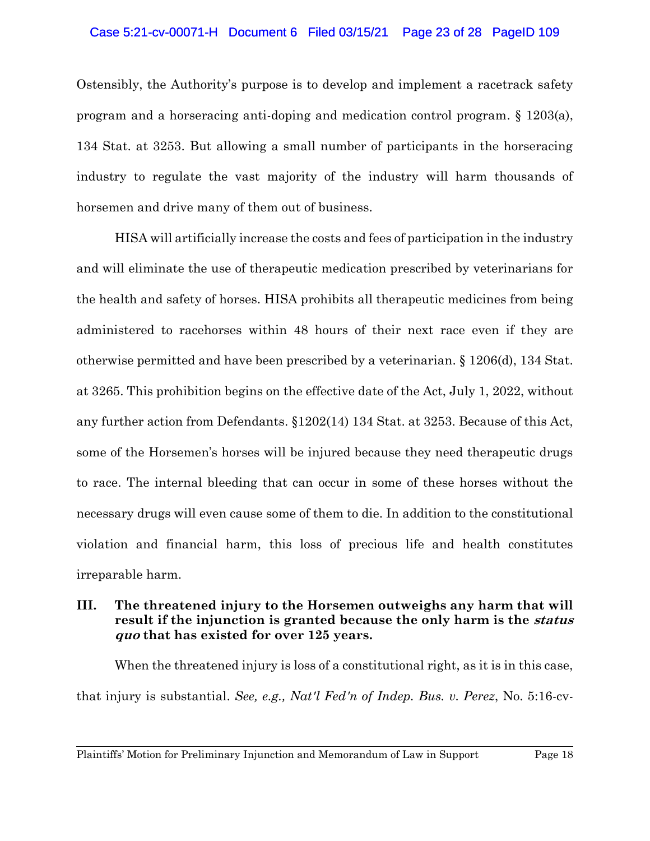#### Case 5:21-cv-00071-H Document 6 Filed 03/15/21 Page 23 of 28 PageID 109

Ostensibly, the Authority's purpose is to develop and implement a racetrack safety program and a horseracing anti-doping and medication control program. § 1203(a), 134 Stat. at 3253. But allowing a small number of participants in the horseracing industry to regulate the vast majority of the industry will harm thousands of horsemen and drive many of them out of business.

HISA will artificially increase the costs and fees of participation in the industry and will eliminate the use of therapeutic medication prescribed by veterinarians for the health and safety of horses. HISA prohibits all therapeutic medicines from being administered to racehorses within 48 hours of their next race even if they are otherwise permitted and have been prescribed by a veterinarian. § 1206(d), 134 Stat. at 3265. This prohibition begins on the effective date of the Act, July 1, 2022, without any further action from Defendants. §1202(14) 134 Stat. at 3253. Because of this Act, some of the Horsemen's horses will be injured because they need therapeutic drugs to race. The internal bleeding that can occur in some of these horses without the necessary drugs will even cause some of them to die. In addition to the constitutional violation and financial harm, this loss of precious life and health constitutes irreparable harm.

## **III. The threatened injury to the Horsemen outweighs any harm that will result if the injunction is granted because the only harm is the status quo that has existed for over 125 years.**

When the threatened injury is loss of a constitutional right, as it is in this case, that injury is substantial. *See, e.g., Nat'l Fed'n of Indep. Bus. v. Perez*, No. 5:16-cv-

Plaintiffs' Motion for Preliminary Injunction and Memorandum of Law in Support Page 18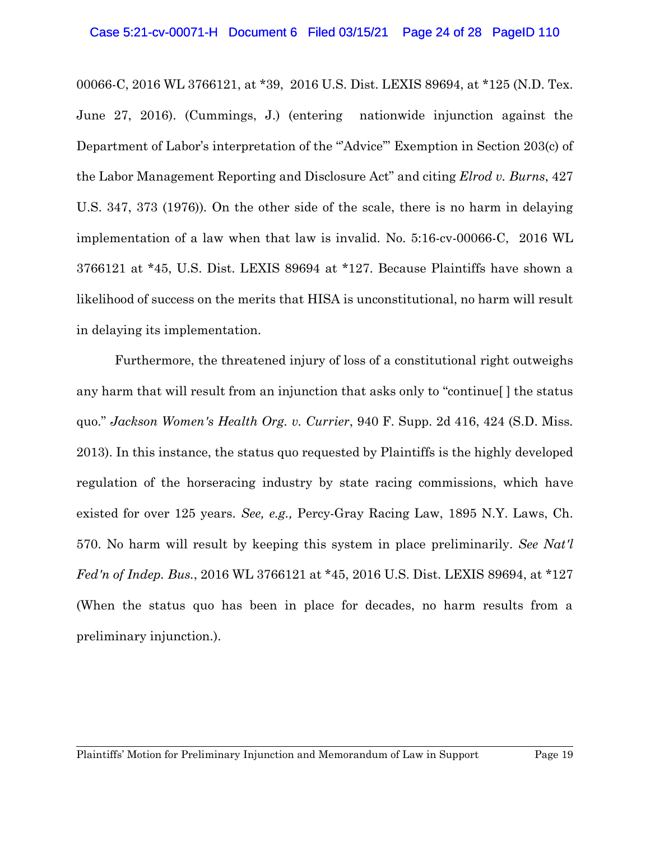#### Case 5:21-cv-00071-H Document 6 Filed 03/15/21 Page 24 of 28 PageID 110

00066-C, 2016 WL 3766121, at \*39, 2016 U.S. Dist. LEXIS 89694, at \*125 (N.D. Tex. June 27, 2016). (Cummings, J.) (entering nationwide injunction against the Department of Labor's interpretation of the "Advice" Exemption in Section 203(c) of the Labor Management Reporting and Disclosure Act" and citing *Elrod v. Burns*, 427 U.S. 347, 373 (1976)). On the other side of the scale, there is no harm in delaying implementation of a law when that law is invalid. No. 5:16-cv-00066-C, 2016 WL 3766121 at \*45, U.S. Dist. LEXIS 89694 at \*127. Because Plaintiffs have shown a likelihood of success on the merits that HISA is unconstitutional, no harm will result in delaying its implementation.

Furthermore, the threatened injury of loss of a constitutional right outweighs any harm that will result from an injunction that asks only to "continue[ ] the status quo." *Jackson Women's Health Org. v. Currier*, 940 F. Supp. 2d 416, 424 (S.D. Miss. 2013). In this instance, the status quo requested by Plaintiffs is the highly developed regulation of the horseracing industry by state racing commissions, which have existed for over 125 years. *See, e.g.,* Percy-Gray Racing Law, 1895 N.Y. Laws, Ch. 570. No harm will result by keeping this system in place preliminarily. *See Nat'l Fed'n of Indep. Bus.*, 2016 WL 3766121 at \*45, 2016 U.S. Dist. LEXIS 89694, at \*127 (When the status quo has been in place for decades, no harm results from a preliminary injunction.).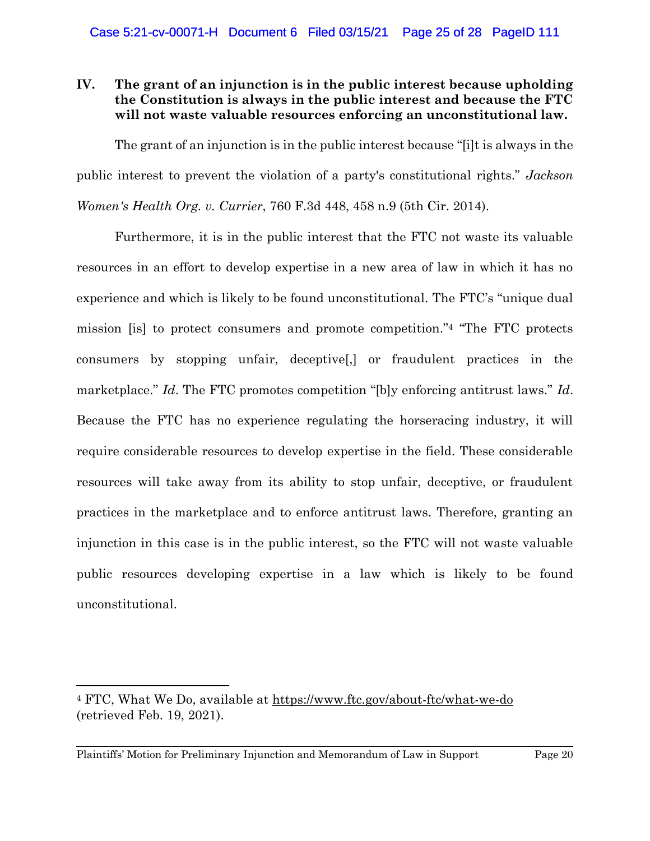## **IV. The grant of an injunction is in the public interest because upholding the Constitution is always in the public interest and because the FTC will not waste valuable resources enforcing an unconstitutional law.**

The grant of an injunction is in the public interest because "[i]t is always in the public interest to prevent the violation of a party's constitutional rights." *Jackson Women's Health Org. v. Currier*, 760 F.3d 448, 458 n.9 (5th Cir. 2014).

Furthermore, it is in the public interest that the FTC not waste its valuable resources in an effort to develop expertise in a new area of law in which it has no experience and which is likely to be found unconstitutional. The FTC's "unique dual mission [is] to protect consumers and promote competition."<sup>4</sup> "The FTC protects consumers by stopping unfair, deceptive[,] or fraudulent practices in the marketplace." *Id*. The FTC promotes competition "[b]y enforcing antitrust laws." *Id*. Because the FTC has no experience regulating the horseracing industry, it will require considerable resources to develop expertise in the field. These considerable resources will take away from its ability to stop unfair, deceptive, or fraudulent practices in the marketplace and to enforce antitrust laws. Therefore, granting an injunction in this case is in the public interest, so the FTC will not waste valuable public resources developing expertise in a law which is likely to be found unconstitutional.

<sup>&</sup>lt;sup>4</sup> FTC, What We Do, available at https://www.ftc.gov/about-ftc/what-we-do (retrieved Feb. 19, 2021).

Plaintiffs' Motion for Preliminary Injunction and Memorandum of Law in Support Page 20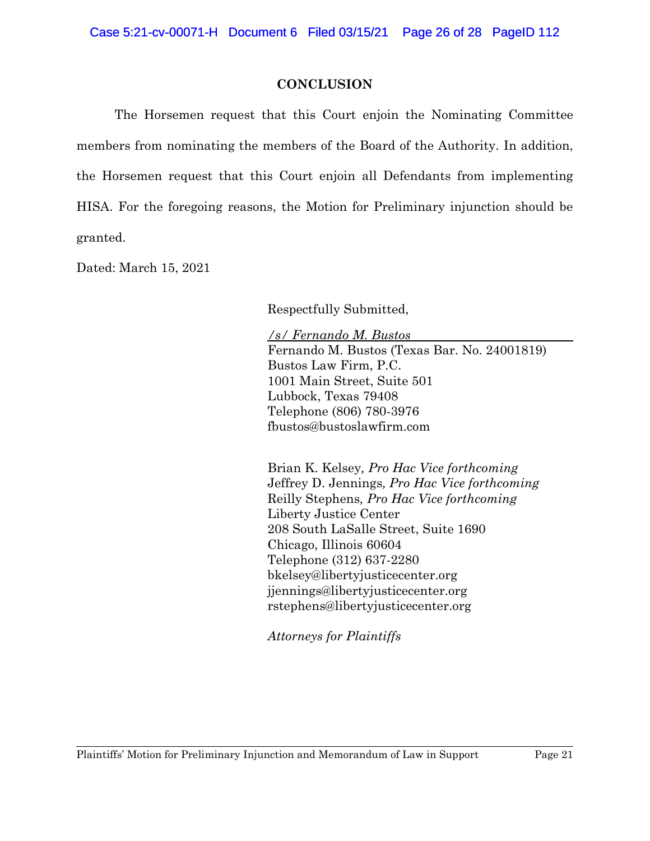## **CONCLUSION**

The Horsemen request that this Court enjoin the Nominating Committee members from nominating the members of the Board of the Authority. In addition, the Horsemen request that this Court enjoin all Defendants from implementing HISA. For the foregoing reasons, the Motion for Preliminary injunction should be granted.

Dated: March 15, 2021

Respectfully Submitted,

*/s/ Fernando M. Bustos* Fernando M. Bustos (Texas Bar. No. 24001819) Bustos Law Firm, P.C. 1001 Main Street, Suite 501 Lubbock, Texas 79408 Telephone (806) 780-3976 fbustos@bustoslawfirm.com

Brian K. Kelsey*, Pro Hac Vice forthcoming* Jeffrey D. Jennings*, Pro Hac Vice forthcoming* Reilly Stephens*, Pro Hac Vice forthcoming* Liberty Justice Center 208 South LaSalle Street, Suite 1690 Chicago, Illinois 60604 Telephone (312) 637-2280 bkelsey@libertyjusticecenter.org jjennings@libertyjusticecenter.org rstephens@libertyjusticecenter.org

*Attorneys for Plaintiffs*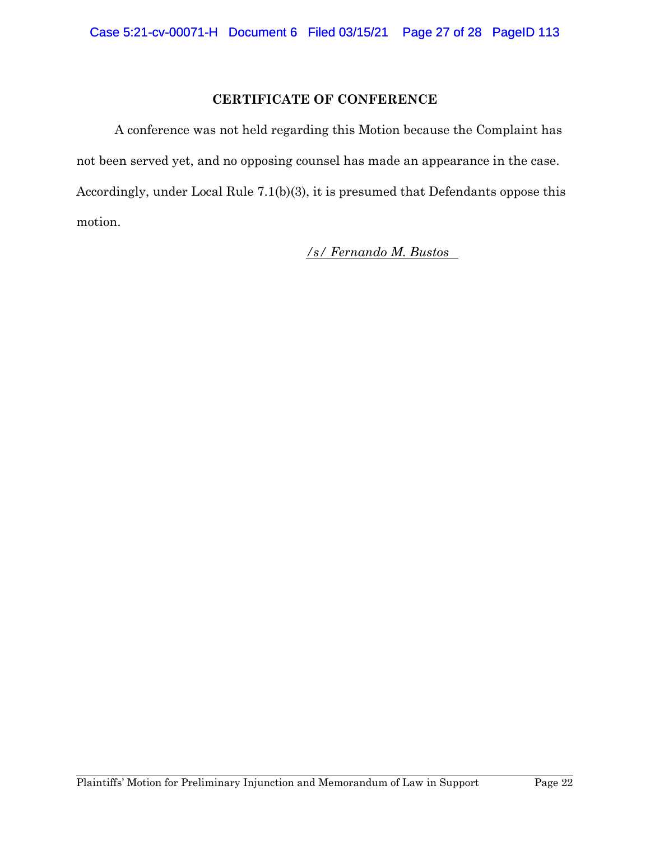## **CERTIFICATE OF CONFERENCE**

A conference was not held regarding this Motion because the Complaint has not been served yet, and no opposing counsel has made an appearance in the case. Accordingly, under Local Rule 7.1(b)(3), it is presumed that Defendants oppose this motion.

*/s/ Fernando M. Bustos*